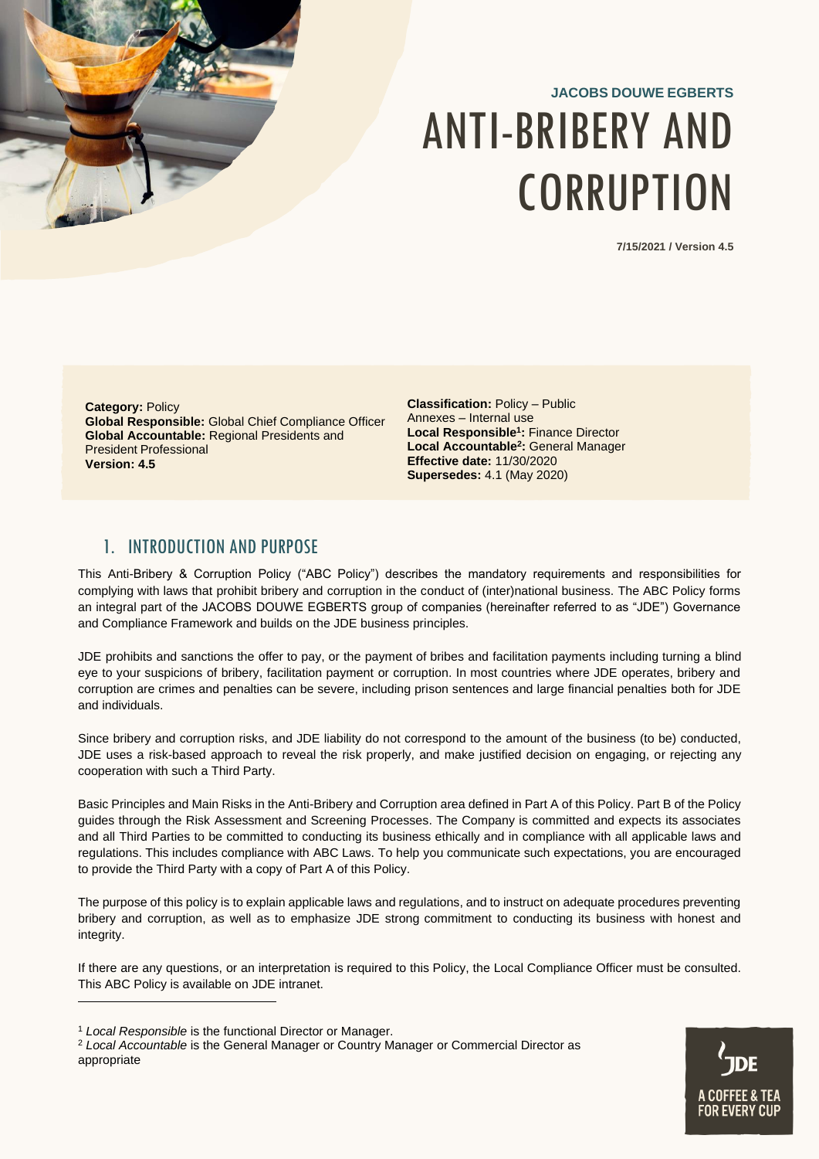# **JACOBS DOUWE EGBERTS** ANTI-BRIBERY AND **CORRUPTION**

**7/15/2021 / Version 4.5**

**Category:** Policy **Global Responsible:** Global Chief Compliance Officer **Global Accountable:** Regional Presidents and President Professional **Version: 4.5**

**Classification:** Policy – Public Annexes – Internal use **Local Responsible<sup>1</sup> :** Finance Director **Local Accountable<sup>2</sup> :** General Manager **Effective date:** 11/30/2020 **Supersedes:** 4.1 (May 2020)

## <span id="page-0-0"></span>1. INTRODUCTION AND PURPOSE

This Anti-Bribery & Corruption Policy ("ABC Policy") describes the mandatory requirements and responsibilities for complying with laws that prohibit bribery and corruption in the conduct of (inter)national business. The ABC Policy forms an integral part of the JACOBS DOUWE EGBERTS group of companies (hereinafter referred to as "JDE") Governance and Compliance Framework and builds on the JDE business principles.

JDE prohibits and sanctions the offer to pay, or the payment of bribes and facilitation payments including turning a blind eye to your suspicions of bribery, facilitation payment or corruption. In most countries where JDE operates, bribery and corruption are crimes and penalties can be severe, including prison sentences and large financial penalties both for JDE and individuals.

Since bribery and corruption risks, and JDE liability do not correspond to the amount of the business (to be) conducted, JDE uses a risk-based approach to reveal the risk properly, and make justified decision on engaging, or rejecting any cooperation with such a Third Party.

Basic Principles and Main Risks in the Anti-Bribery and Corruption area defined in Part A of this Policy. Part B of the Policy guides through the Risk Assessment and Screening Processes. The Company is committed and expects its associates and all Third Parties to be committed to conducting its business ethically and in compliance with all applicable laws and regulations. This includes compliance with ABC Laws. To help you communicate such expectations, you are encouraged to provide the Third Party with a copy of Part A of this Policy.

The purpose of this policy is to explain applicable laws and regulations, and to instruct on adequate procedures preventing bribery and corruption, as well as to emphasize JDE strong commitment to conducting its business with honest and integrity.

If there are any questions, or an interpretation is required to this Policy, the Local Compliance Officer must be consulted. This ABC Policy is available on JDE intranet.



<sup>1</sup> *Local Responsible* is the functional Director or Manager.

<sup>2</sup> *Local Accountable* is the General Manager or Country Manager or Commercial Director as appropriate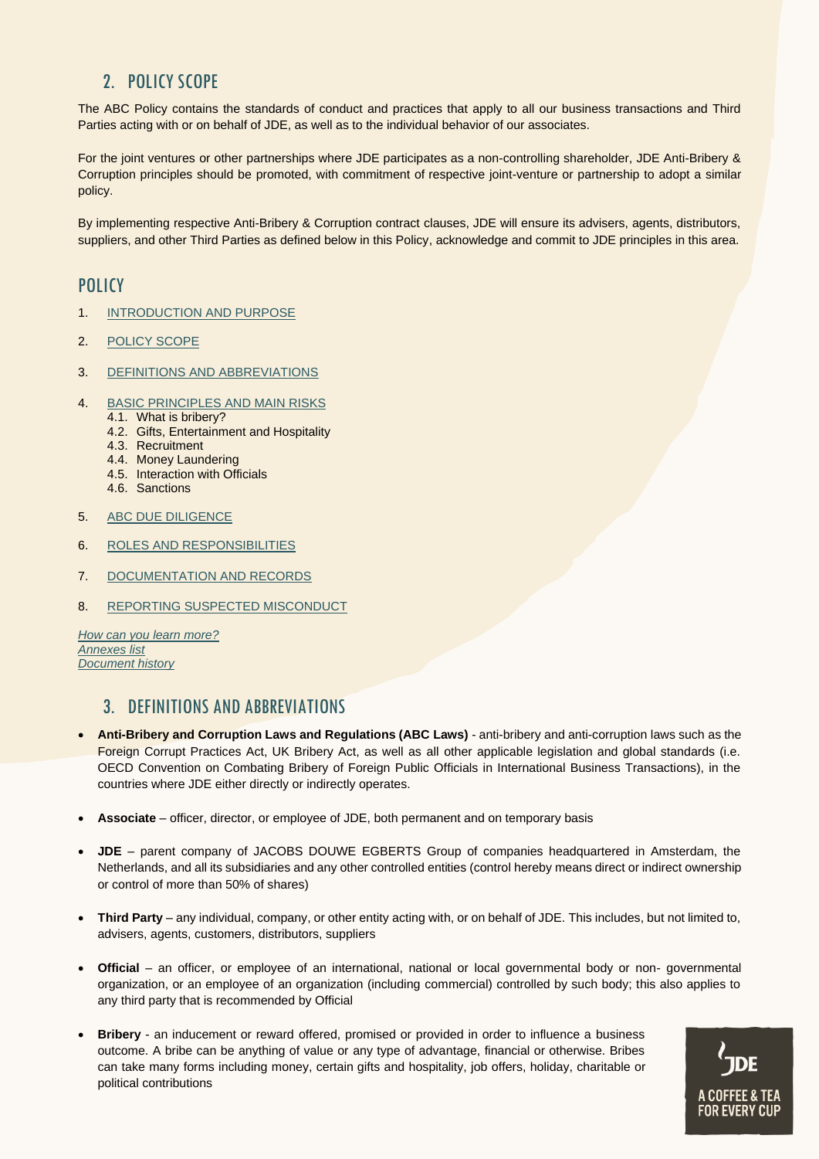# <span id="page-1-0"></span>2. POLICY SCOPE

The ABC Policy contains the standards of conduct and practices that apply to all our business transactions and Third Parties acting with or on behalf of JDE, as well as to the individual behavior of our associates.

For the joint ventures or other partnerships where JDE participates as a non-controlling shareholder, JDE Anti-Bribery & Corruption principles should be promoted, with commitment of respective joint-venture or partnership to adopt a similar policy.

By implementing respective Anti-Bribery & Corruption contract clauses, JDE will ensure its advisers, agents, distributors, suppliers, and other Third Parties as defined below in this Policy, acknowledge and commit to JDE principles in this area.

## **POLICY**

- 1. [INTRODUCTION AND PURPOSE](#page-0-0)
- 2. [POLICY SCOPE](#page-1-0)
- 3. DEFINITIONS [AND ABBREVIATIONS](#page-1-1)
- 4. [BASIC PRINCIPLES AND MAIN RISKS](#page-2-0)
	- 4.1. What is bribery?
	- 4.2. Gifts, Entertainment and Hospitality
	- 4.3. Recruitment
	- 4.4. Money Laundering
	- 4.5. Interaction with Officials
	- 4.6. Sanctions
- 5. ABC DUE DILIGENCE
- 6. ROLES AND RESPONSIBILITIES
- 7. DOCUMENTATION AND RECORDS
- 8. REPORTING SUSPECTED MISCONDUCT

*[How can you learn more?](#page-7-0) [Annexes list](#page-7-0) [Document history](#page-7-0)*

## <span id="page-1-1"></span>3. DEFINITIONS AND ABBREVIATIONS

- **Anti-Bribery and Corruption Laws and Regulations (ABC Laws)** anti-bribery and anti-corruption laws such as the Foreign Corrupt Practices Act, UK Bribery Act, as well as all other applicable legislation and global standards (i.e. OECD Convention on Combating Bribery of Foreign Public Officials in International Business Transactions), in the countries where JDE either directly or indirectly operates.
- **Associate** officer, director, or employee of JDE, both permanent and on temporary basis
- **JDE** parent company of JACOBS DOUWE EGBERTS Group of companies headquartered in Amsterdam, the Netherlands, and all its subsidiaries and any other controlled entities (control hereby means direct or indirect ownership or control of more than 50% of shares)
- **Third Party** any individual, company, or other entity acting with, or on behalf of JDE. This includes, but not limited to, advisers, agents, customers, distributors, suppliers
- <span id="page-1-2"></span>• **Official** – an officer, or employee of an international, national or local governmental body or non- governmental organization, or an employee of an organization (including commercial) controlled by such body; this also applies to any third party that is recommended by Official
- **Bribery** an inducement or reward offered, promised or provided in order to influence a business outcome. A bribe can be anything of value or any type of advantage, financial or otherwise. Bribes can take many forms including money, certain gifts and hospitality, job offers, holiday, charitable or political contributions

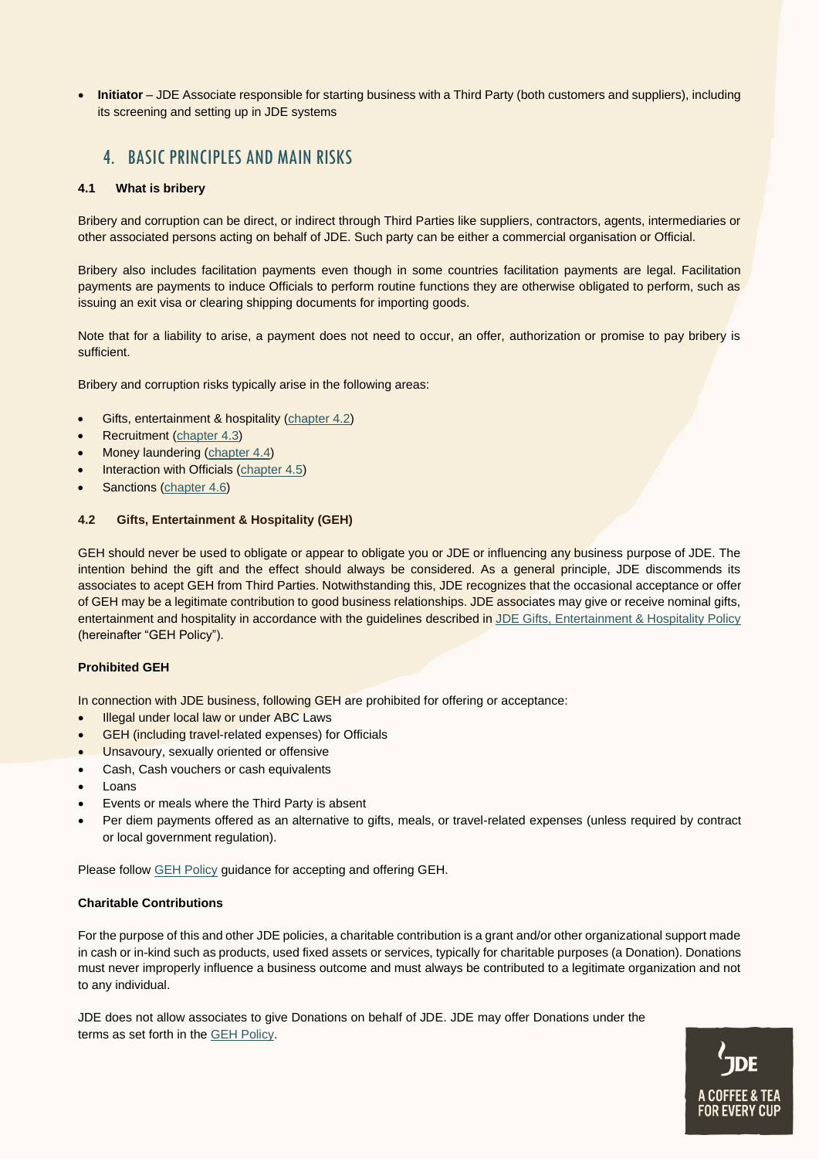• **Initiator** – JDE Associate responsible for starting business with a Third Party (both customers and suppliers), including its screening and setting up in JDE systems

# <span id="page-2-0"></span>4. BASIC PRINCIPLES AND MAIN RISKS

## **4.1 What is bribery**

Bribery and corruption can be direct, or indirect through Third Parties like suppliers, contractors, agents, intermediaries or other associated persons acting on behalf of JDE. Such party can be either a commercial organisation or Official.

Bribery also includes facilitation payments even though in some countries facilitation payments are legal. Facilitation payments are payments to induce Officials to perform routine functions they are otherwise obligated to perform, such as issuing an exit visa or clearing shipping documents for importing goods.

Note that for a liability to arise, a payment does not need to occur, an offer, authorization or promise to pay bribery is sufficient.

Bribery and corruption risks typically arise in the following areas:

- Gifts, entertainment & hospitality [\(chapter 4.2\)](#page-2-1)
- Recruitment [\(chapter 4.3\)](#page-3-0)
- Money laundering [\(chapter 4.4\)](#page-3-0)
- Interaction with Officials [\(chapter 4.5\)](#page-4-0)
- Sanctions [\(chapter 4.6\)](#page-5-0)

## <span id="page-2-1"></span>**4.2 Gifts, Entertainment & Hospitality (GEH)**

GEH should never be used to obligate or appear to obligate you or JDE or influencing any business purpose of JDE. The intention behind the gift and the effect should always be considered. As a general principle, JDE discommends its associates to acept GEH from Third Parties. Notwithstanding this, JDE recognizes that the occasional acceptance or offer of GEH may be a legitimate contribution to good business relationships. JDE associates may give or receive nominal gifts, entertainment and hospitality in accordance with the guidelines described i[n JDE Gifts, Entertainment & Hospitality Policy](https://coffeeandtea.sharepoint.com/sites/rs1/bep/Shared%20Documents/JDE%20Gifts%20Entertainment%20and%20Hospitality%20Policy%20v1.1_March%202020.pdf) (hereinafter "GEH Policy").

## **Prohibited GEH**

In connection with JDE business, following GEH are prohibited for offering or acceptance:

- Illegal under local law or under ABC Laws
- GEH (including travel-related expenses) for Officials
- Unsavoury, sexually oriented or offensive
- Cash, Cash vouchers or cash equivalents
- Loans
- Events or meals where the Third Party is absent
- Per diem payments offered as an alternative to gifts, meals, or travel-related expenses (unless required by contract or local government regulation).

Please follow [GEH Policy](https://coffeeandtea.sharepoint.com/sites/rs1/bep/Shared%20Documents/JDE%20Gifts%20Entertainment%20and%20Hospitality%20Policy%20v1.1_March%202020.pdf) guidance for accepting and offering GEH.

## **Charitable Contributions**

For the purpose of this and other JDE policies, a charitable contribution is a grant and/or other organizational support made in cash or in-kind such as products, used fixed assets or services, typically for [charitable](http://en.wikipedia.org/wiki/Charitable_organization) purposes (a Donation). Donations must never improperly influence a business outcome and must always be contributed to a legitimate organization and not to any individual.

JDE does not allow associates to give Donations on behalf of JDE. JDE may offer Donations under the terms as set forth in the [GEH Policy.](https://coffeeandtea.sharepoint.com/sites/rs1/bep/Shared%20Documents/JDE%20Gifts%20Entertainment%20and%20Hospitality%20Policy%20v1.1_March%202020.pdf)

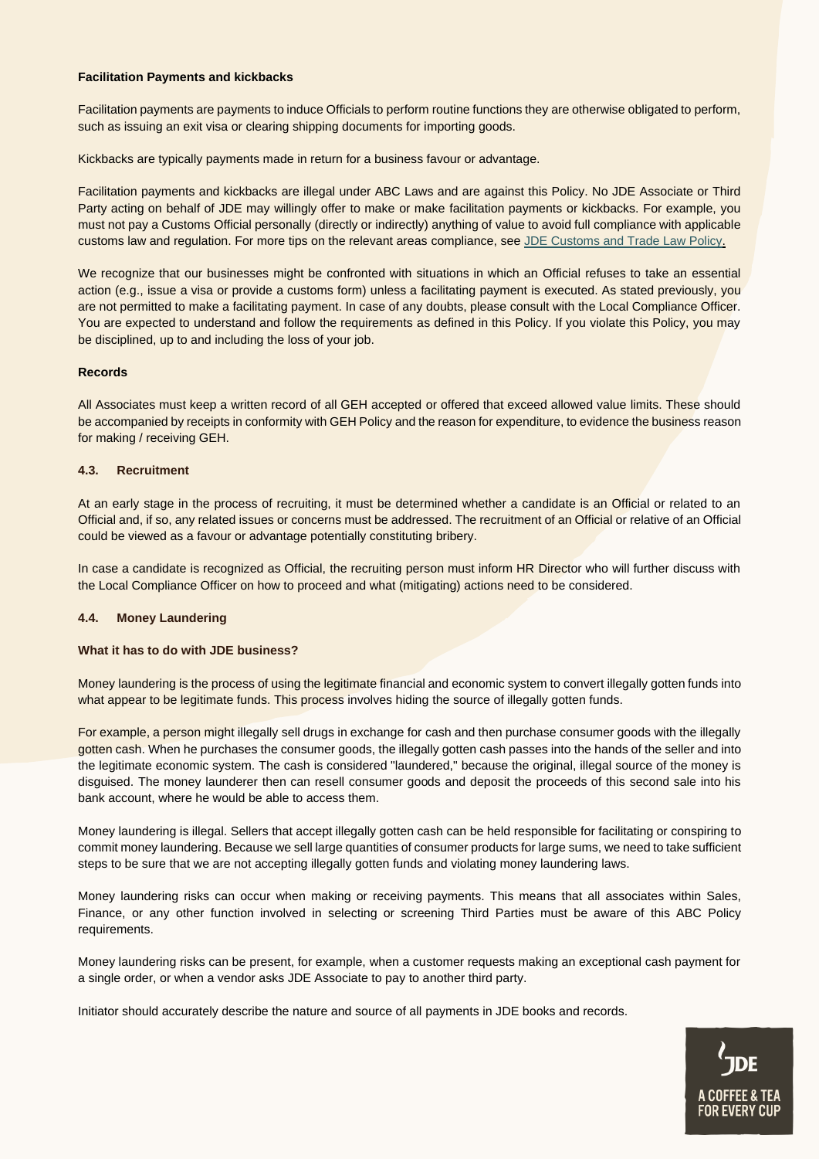#### **Facilitation Payments and kickbacks**

Facilitation payments are payments to induce Officials to perform routine functions they are otherwise obligated to perform, such as issuing an exit visa or clearing shipping documents for importing goods.

Kickbacks are typically payments made in return for a business favour or advantage.

Facilitation payments and kickbacks are illegal under ABC Laws and are against this Policy. No JDE Associate or Third Party acting on behalf of JDE may willingly offer to make or make facilitation payments or kickbacks. For example, you must not pay a Customs Official personally (directly or indirectly) anything of value to avoid full compliance with applicable customs law and regulation. For more tips on the relevant areas compliance, see [JDE Customs and Trade Law Policy.](https://coffeeandtea.sharepoint.com/%3aw%3a/s/rs1/bep/EXfjttCCmcdNrNf57RbUus8BN4Nvj_ywxfyRk71vyym2cA?e=ZFHq0C)

We recognize that our businesses might be confronted with situations in which an Official refuses to take an essential action (e.g., issue a visa or provide a customs form) unless a facilitating payment is executed. As stated previously, you are not permitted to make a facilitating payment. In case of any doubts, please consult with the Local Compliance Officer. You are expected to understand and follow the requirements as defined in this Policy. If you violate this Policy, you may be disciplined, up to and including the loss of your job.

#### **Records**

All Associates must keep a written record of all GEH accepted or offered that exceed allowed value limits. These should be accompanied by receipts in conformity with GEH Policy and the reason for expenditure, to evidence the business reason for making / receiving GEH.

#### <span id="page-3-0"></span>**4.3. Recruitment**

At an early stage in the process of recruiting, it must be determined whether a candidate is an Official or related to an Official and, if so, any related issues or concerns must be addressed. The recruitment of an Official or relative of an Official could be viewed as a favour or advantage potentially constituting bribery.

In case a candidate is recognized as Official, the recruiting person must inform HR Director who will further discuss with the Local Compliance Officer on how to proceed and what (mitigating) actions need to be considered.

#### **4.4. Money Laundering**

#### **What it has to do with JDE business?**

Money laundering is the process of using the legitimate financial and economic system to convert illegally gotten funds into what appear to be legitimate funds. This process involves hiding the source of illegally gotten funds.

For example, a person might illegally sell drugs in exchange for cash and then purchase consumer goods with the illegally gotten cash. When he purchases the consumer goods, the illegally gotten cash passes into the hands of the seller and into the legitimate economic system. The cash is considered "laundered," because the original, illegal source of the money is disguised. The money launderer then can resell consumer goods and deposit the proceeds of this second sale into his bank account, where he would be able to access them.

Money laundering is illegal. Sellers that accept illegally gotten cash can be held responsible for facilitating or conspiring to commit money laundering. Because we sell large quantities of consumer products for large sums, we need to take sufficient steps to be sure that we are not accepting illegally gotten funds and violating money laundering laws.

Money laundering risks can occur when making or receiving payments. This means that all associates within Sales, Finance, or any other function involved in selecting or screening Third Parties must be aware of this ABC Policy requirements.

Money laundering risks can be present, for example, when a customer requests making an exceptional cash payment for a single order, or when a vendor asks JDE Associate to pay to another third party.

Initiator should accurately describe the nature and source of all payments in JDE books and records.

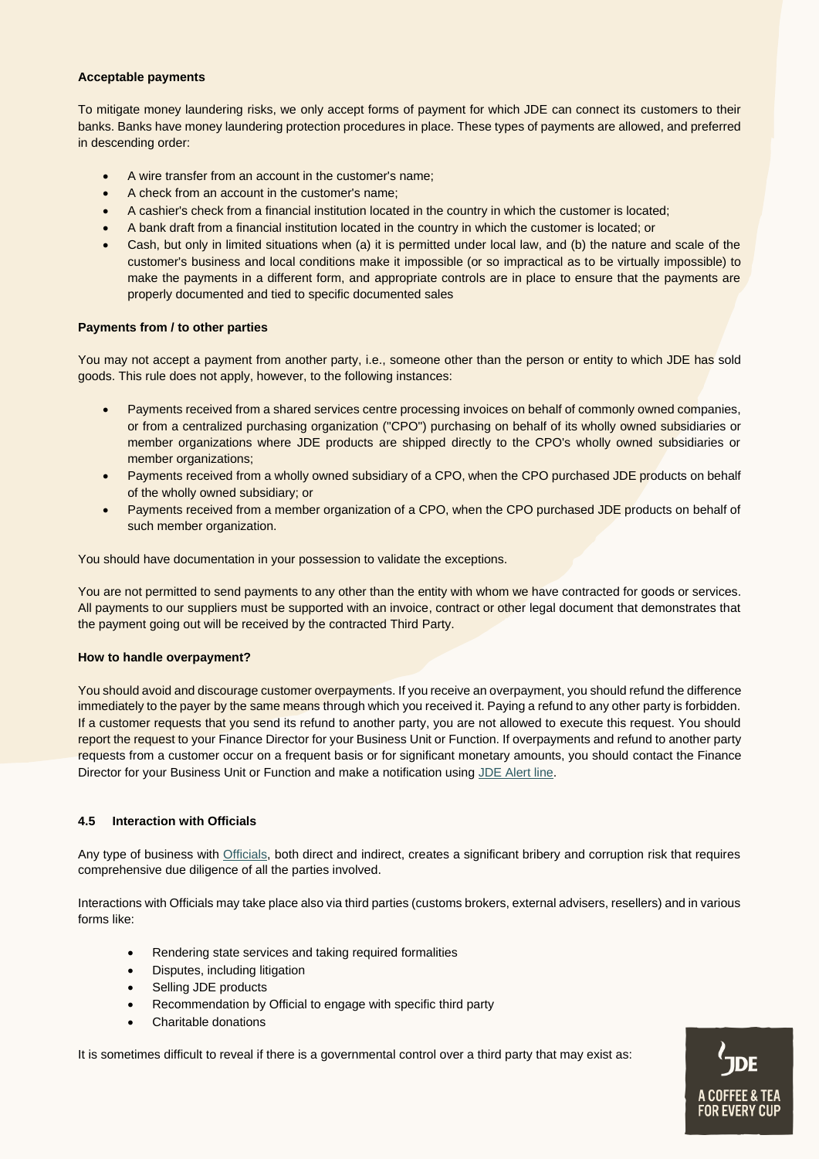#### **Acceptable payments**

To mitigate money laundering risks, we only accept forms of payment for which JDE can connect its customers to their banks. Banks have money laundering protection procedures in place. These types of payments are allowed, and preferred in descending order:

- A wire transfer from an account in the customer's name;
- A check from an account in the customer's name;
- A cashier's check from a financial institution located in the country in which the customer is located;
- A bank draft from a financial institution located in the country in which the customer is located; or
- Cash, but only in limited situations when (a) it is permitted under local law, and (b) the nature and scale of the customer's business and local conditions make it impossible (or so impractical as to be virtually impossible) to make the payments in a different form, and appropriate controls are in place to ensure that the payments are properly documented and tied to specific documented sales

## **Payments from / to other parties**

You may not accept a payment from another party, i.e., someone other than the person or entity to which JDE has sold goods. This rule does not apply, however, to the following instances:

- Payments received from a shared services centre processing invoices on behalf of commonly owned companies, or from a centralized purchasing organization ("CPO") purchasing on behalf of its wholly owned subsidiaries or member organizations where JDE products are shipped directly to the CPO's wholly owned subsidiaries or member organizations;
- Payments received from a wholly owned subsidiary of a CPO, when the CPO purchased JDE products on behalf of the wholly owned subsidiary; or
- Payments received from a member organization of a CPO, when the CPO purchased JDE products on behalf of such member organization.

You should have documentation in your possession to validate the exceptions.

You are not permitted to send payments to any other than the entity with whom we have contracted for goods or services. All payments to our suppliers must be supported with an invoice, contract or other legal document that demonstrates that the payment going out will be received by the contracted Third Party.

## **How to handle overpayment?**

You should avoid and discourage customer overpayments. If you receive an overpayment, you should refund the difference immediately to the payer by the same means through which you received it. Paying a refund to any other party is forbidden. If a customer requests that you send its refund to another party, you are not allowed to execute this request. You should report the request to your Finance Director for your Business Unit or Function. If overpayments and refund to another party requests from a customer occur on a frequent basis or for significant monetary amounts, you should contact the Finance Director for your Business Unit or Function and make a notification using [JDE Alert line.](https://coffeeandtea.sharepoint.com/sites/rs1/bep/Shared%20Documents/Speak%20up%20Policy%20version%203.2.2.pdf)

## <span id="page-4-0"></span>**4.5 Interaction with Officials**

Any type of business with [Officials,](#page-1-2) both direct and indirect, creates a significant bribery and corruption risk that requires comprehensive due diligence of all the parties involved.

Interactions with Officials may take place also via third parties (customs brokers, external advisers, resellers) and in various forms like:

- Rendering state services and taking required formalities
- Disputes, including litigation
- Selling JDE products
- Recommendation by Official to engage with specific third party
- Charitable donations

It is sometimes difficult to reveal if there is a governmental control over a third party that may exist as:

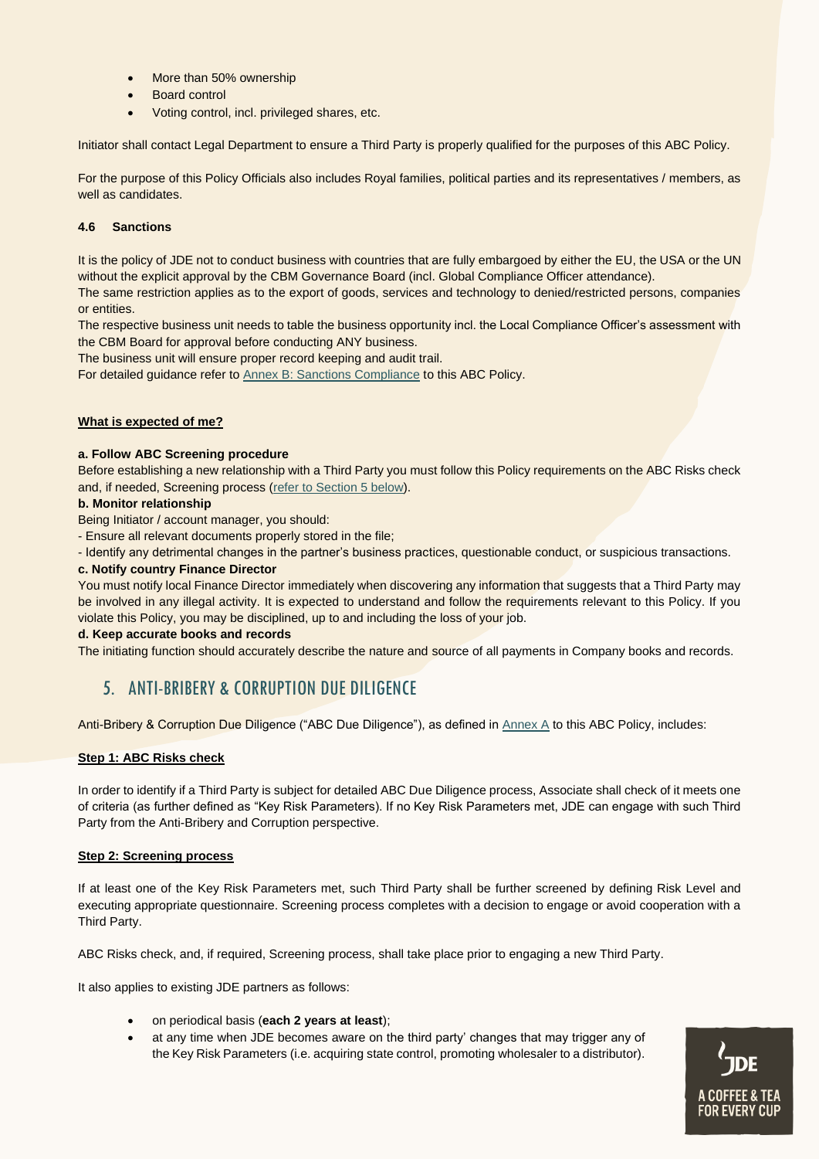- More than 50% ownership
- Board control
- Voting control, incl. privileged shares, etc.

Initiator shall contact Legal Department to ensure a Third Party is properly qualified for the purposes of this ABC Policy.

For the purpose of this Policy Officials also includes Royal families, political parties and its representatives / members, as well as candidates.

## <span id="page-5-0"></span>**4.6 Sanctions**

It is the policy of JDE not to conduct business with countries that are fully embargoed by either the EU, the USA or the UN without the explicit approval by the CBM Governance Board (incl. Global Compliance Officer attendance).

The same restriction applies as to the export of goods, services and technology to denied/restricted persons, companies or entities.

The respective business unit needs to table the business opportunity incl. the Local Compliance Officer's assessment with the CBM Board for approval before conducting ANY business.

The business unit will ensure proper record keeping and audit trail.

For detailed guidance refer to [Annex B: Sanctions Compliance](https://coffeeandtea.sharepoint.com/:w:/r/sites/rs1/bep/_layouts/15/Doc.aspx?sourcedoc=%7B6B909F12-308C-490E-952C-AB739DD0E7B7%7D&file=ABC%20Policy%20Ver%204.5%20Annex%20B%20-%20Sanctions%20Compliance.docx&action=default&mobileredirect=true) to this ABC Policy.

## **What is expected of me?**

#### **a. Follow ABC Screening procedure**

Before establishing a new relationship with a Third Party you must follow this Policy requirements on the ABC Risks check and, if needed, Screening process (refer to Section 5 below).

## **b. Monitor relationship**

Being Initiator / account manager, you should:

- Ensure all relevant documents properly stored in the file;

- Identify any detrimental changes in the partner's business practices, questionable conduct, or suspicious transactions.

#### **c. Notify country Finance Director**

You must notify local Finance Director immediately when discovering any information that suggests that a Third Party may be involved in any illegal activity. It is expected to understand and follow the requirements relevant to this Policy. If you violate this Policy, you may be disciplined, up to and including the loss of your job.

#### **d. Keep accurate books and records**

The initiating function should accurately describe the nature and source of all payments in Company books and records.

# 5. ANTI-BRIBERY & CORRUPTION DUE DILIGENCE

Anti-Bribery & Corruption Due Diligence ("ABC Due Diligence"), as defined in [Annex A](https://coffeeandtea.sharepoint.com/:w:/s/rs1/bep/ESQbqyVJHHdKpABfKx5zafwBztFsMRl-6n2tQFTzbieowA?e=FVFGyM) to this ABC Policy, includes:

## **Step 1: ABC Risks check**

In order to identify if a Third Party is subject for detailed ABC Due Diligence process, Associate shall check of it meets one of criteria (as further defined as "Key Risk Parameters). If no Key Risk Parameters met, JDE can engage with such Third Party from the Anti-Bribery and Corruption perspective.

## **Step 2: Screening process**

If at least one of the Key Risk Parameters met, such Third Party shall be further screened by defining Risk Level and executing appropriate questionnaire. Screening process completes with a decision to engage or avoid cooperation with a Third Party.

ABC Risks check, and, if required, Screening process, shall take place prior to engaging a new Third Party.

It also applies to existing JDE partners as follows:

- on periodical basis (**each 2 years at least**);
- at any time when JDE becomes aware on the third party' changes that may trigger any of the Key Risk Parameters (i.e. acquiring state control, promoting wholesaler to a distributor).

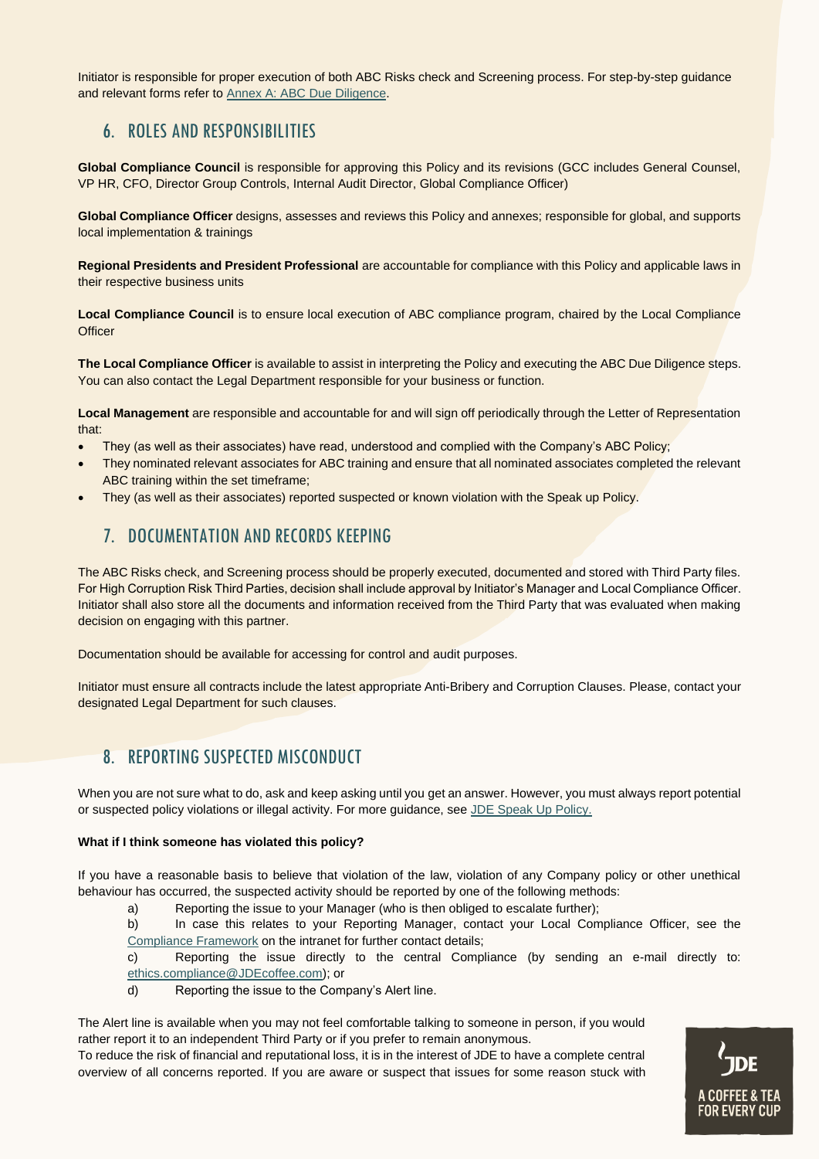Initiator is responsible for proper execution of both ABC Risks check and Screening process. For step-by-step guidance and relevant forms refer t[o Annex A: ABC Due Diligence.](https://coffeeandtea.sharepoint.com/:w:/s/rs1/bep/ESQbqyVJHHdKpABfKx5zafwBztFsMRl-6n2tQFTzbieowA?e=FVFGyM)

# 6. ROLES AND RESPONSIBILITIES

**Global Compliance Council** is responsible for approving this Policy and its revisions (GCC includes General Counsel, VP HR, CFO, Director Group Controls, Internal Audit Director, Global Compliance Officer)

**Global Compliance Officer** designs, assesses and reviews this Policy and annexes; responsible for global, and supports local implementation & trainings

**Regional Presidents and President Professional** are accountable for compliance with this Policy and applicable laws in their respective business units

**Local Compliance Council** is to ensure local execution of ABC compliance program, chaired by the Local Compliance **Officer** 

**The Local Compliance Officer** is available to assist in interpreting the Policy and executing the ABC Due Diligence steps. You can also contact the Legal Department responsible for your business or function.

**Local Management** are responsible and accountable for and will sign off periodically through the Letter of Representation that:

- They (as well as their associates) have read, understood and complied with the Company's ABC Policy;
- They nominated relevant associates for ABC training and ensure that all nominated associates completed the relevant ABC training within the set timeframe;
- They (as well as their associates) reported suspected or known violation with the Speak up Policy.

# 7. DOCUMENTATION AND RECORDS KEEPING

The ABC Risks check, and Screening process should be properly executed, documented and stored with Third Party files. For High Corruption Risk Third Parties, decision shall include approval by Initiator's Manager and Local Compliance Officer. Initiator shall also store all the documents and information received from the Third Party that was evaluated when making decision on engaging with this partner.

Documentation should be available for accessing for control and audit purposes.

Initiator must ensure all contracts include the latest appropriate Anti-Bribery and Corruption Clauses. Please, contact your designated Legal Department for such clauses.

# 8. REPORTING SUSPECTED MISCONDUCT

When you are not sure what to do, ask and keep asking until you get an answer. However, you must always report potential or suspected policy violations or illegal activity. For more guidance, see [JDE Speak Up Policy.](https://coffeeandtea.sharepoint.com/sites/rs1/bep/Shared%20Documents/Forms/PoliciesEnglish.aspx?id=%2Fsites%2Frs1%2Fbep%2FShared%20Documents%2FSpeak%20up%20Policy%20vs%203%2E2%2E2%2Epdf&parent=%2Fsites%2Frs1%2Fbep%2FShared%20Documents&p=true&originalPath=aHR0cHM6Ly9jb2ZmZWVhbmR0ZWEuc2hhcmVwb2ludC5jb20vOmI6L3MvcnMxL2JlcC9FWUlSN2luR05NeERqenVxTHRKc2YyNEJ6VmJBdmU0OGJyQXpRWWpaTEEtQzlBP3J0aW1lPU1sQS1OVEJJMlVn)

## **What if I think someone has violated this policy?**

If you have a reasonable basis to believe that violation of the law, violation of any Company policy or other unethical behaviour has occurred, the suspected activity should be reported by one of the following methods:

a) Reporting the issue to your Manager (who is then obliged to escalate further);

b) In case this relates to your Reporting Manager, contact your Local Compliance Officer, see the [Compliance Framework](https://coffeeandtea.sharepoint.com/sites/rs1/bep/Pages/Home.aspx) on the intranet for further contact details;

c) Reporting the issue directly to the central Compliance (by sending an e-mail directly to: [ethics.compliance@JDEcoffee.com\)](mailto:ethics.compliance@JDEcoffee.com); or

d) Reporting the issue to the Company's Alert line.

The Alert line is available when you may not feel comfortable talking to someone in person, if you would rather report it to an independent Third Party or if you prefer to remain anonymous.

To reduce the risk of financial and reputational loss, it is in the interest of JDE to have a complete central overview of all concerns reported. If you are aware or suspect that issues for some reason stuck with

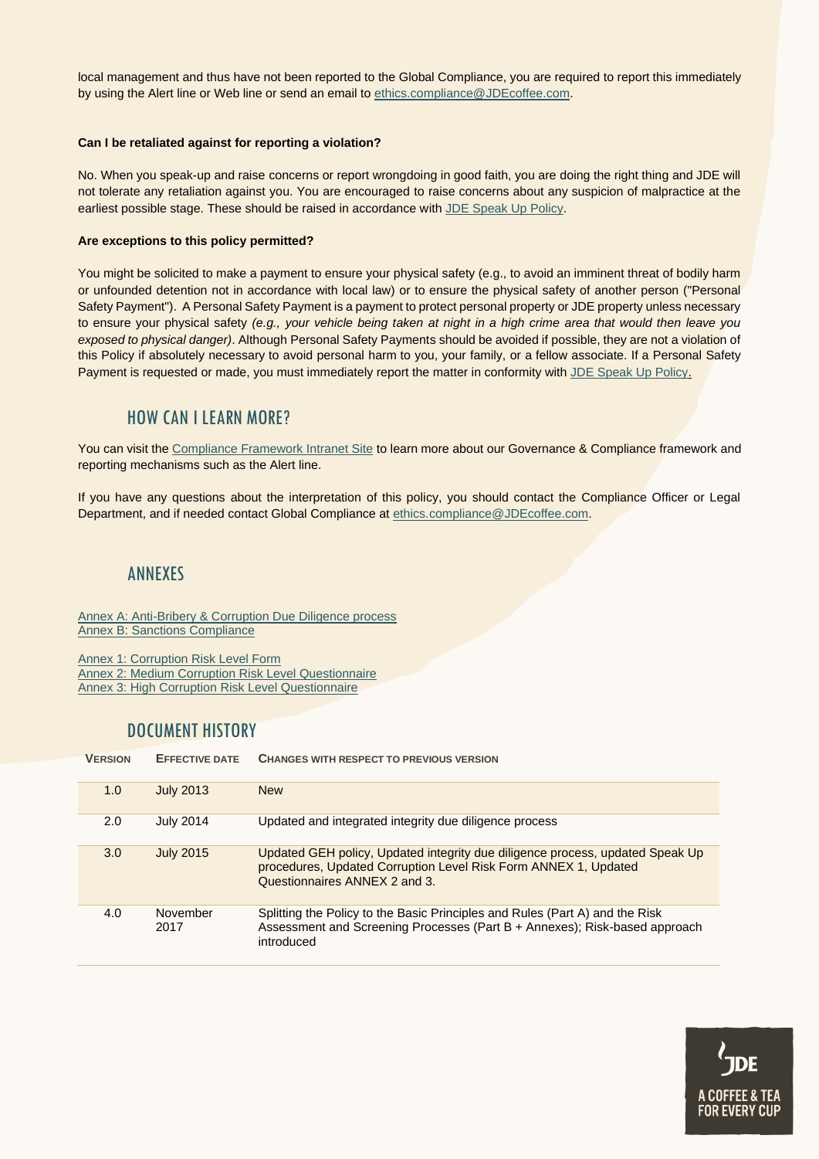local management and thus have not been reported to the Global Compliance, you are required to report this immediately by using the Alert line or Web line or send an email to [ethics.compliance@JDEcoffee.com.](mailto:ethics.compliance@JDEcoffee.com)

#### **Can I be retaliated against for reporting a violation?**

No. When you speak-up and raise concerns or report wrongdoing in good faith, you are doing the right thing and JDE will not tolerate any retaliation against you. You are encouraged to raise concerns about any suspicion of malpractice at the earliest possible stage. These should be raised in accordance with [JDE Speak](https://coffeeandtea.sharepoint.com/sites/rs1/bep/Shared%20Documents/Forms/PoliciesEnglish.aspx?id=%2Fsites%2Frs1%2Fbep%2FShared%20Documents%2FSpeak%20up%20Policy%20vs%203%2E2%2E2%2Epdf&parent=%2Fsites%2Frs1%2Fbep%2FShared%20Documents&p=true&originalPath=aHR0cHM6Ly9jb2ZmZWVhbmR0ZWEuc2hhcmVwb2ludC5jb20vOmI6L3MvcnMxL2JlcC9FWUlSN2luR05NeERqenVxTHRKc2YyNEJ6VmJBdmU0OGJyQXpRWWpaTEEtQzlBP3J0aW1lPU1sQS1OVEJJMlVn) Up Policy.

#### **Are exceptions to this policy permitted?**

You might be solicited to make a payment to ensure your physical safety (e.g., to avoid an imminent threat of bodily harm or unfounded detention not in accordance with local law) or to ensure the physical safety of another person ("Personal Safety Payment"). A Personal Safety Payment is a payment to protect personal property or JDE property unless necessary to ensure your physical safety *(e.g., your vehicle being taken at night in a high crime area that would then leave you exposed to physical danger)*. Although Personal Safety Payments should be avoided if possible, they are not a violation of this Policy if absolutely necessary to avoid personal harm to you, your family, or a fellow associate. If a Personal Safety Payment is requested or made, you must immediately report the matter in conformity with JDE Speak Up Policy.

## HOW CAN I LEARN MORE?

You can visit the [Compliance Framework Intranet Site](https://coffeeandtea.sharepoint.com/sites/rs1/bep/Pages/Home.aspx) to learn more about our Governance & Compliance framework and reporting mechanisms such as the Alert line.

If you have any questions about the interpretation of this policy, you should contact the Compliance Officer or Legal Department, and if needed contact Global Compliance at [ethics.compliance@JDEcoffee.com.](mailto:ethics.compliance@JDEcoffee.com)

# ANNEXES

[Annex A: Anti-Bribery & Corruption Due Diligence process](https://coffeeandtea.sharepoint.com/:w:/s/rs1/bep/ESQbqyVJHHdKpABfKx5zafwBztFsMRl-6n2tQFTzbieowA?e=FVFGyM) [Annex B: Sanctions Compliance](https://coffeeandtea.sharepoint.com/:w:/r/sites/rs1/bep/_layouts/15/Doc.aspx?sourcedoc=%7B6B909F12-308C-490E-952C-AB739DD0E7B7%7D&file=ABC%20Policy%20Ver%204.5%20Annex%20B%20-%20Sanctions%20Compliance.docx&action=default&mobileredirect=true)

<span id="page-7-0"></span>[Annex 1: Corruption Risk Level Form](https://coffeeandtea.sharepoint.com/:w:/s/rs1/bep/Efd-RSC4kzJIoB4qmxeTNZwB4d2LA416rDyQN12Ola_nSQ?e=LCgMfJ) [Annex 2: Medium Corruption Risk Level Questionnaire](https://coffeeandtea.sharepoint.com/:w:/s/rs1/bep/EY6EdHryFtlNh32chgtPVy8BNj1BJWP9j34bEquAaHY-qA?e=18UlUA) [Annex 3: High Corruption Risk Level Questionnaire](https://coffeeandtea.sharepoint.com/:w:/s/rs1/bep/Eai9jCQ7cQ1Ik9eStDI5JSIBl0LggzDBvSE2A0yVxN7TjQ?e=sN0YUA)

# DOCUMENT HISTORY

| <b>VERSION</b> | <b>EFFECTIVE DATE</b> | <b>CHANGES WITH RESPECT TO PREVIOUS VERSION</b>                                                                                                                                   |
|----------------|-----------------------|-----------------------------------------------------------------------------------------------------------------------------------------------------------------------------------|
| 1.0            | <b>July 2013</b>      | <b>New</b>                                                                                                                                                                        |
| 2.0            | <b>July 2014</b>      | Updated and integrated integrity due diligence process                                                                                                                            |
| 3.0            | <b>July 2015</b>      | Updated GEH policy, Updated integrity due diligence process, updated Speak Up<br>procedures, Updated Corruption Level Risk Form ANNEX 1, Updated<br>Questionnaires ANNEX 2 and 3. |
| 4.0            | November<br>2017      | Splitting the Policy to the Basic Principles and Rules (Part A) and the Risk<br>Assessment and Screening Processes (Part B + Annexes); Risk-based approach<br>introduced          |